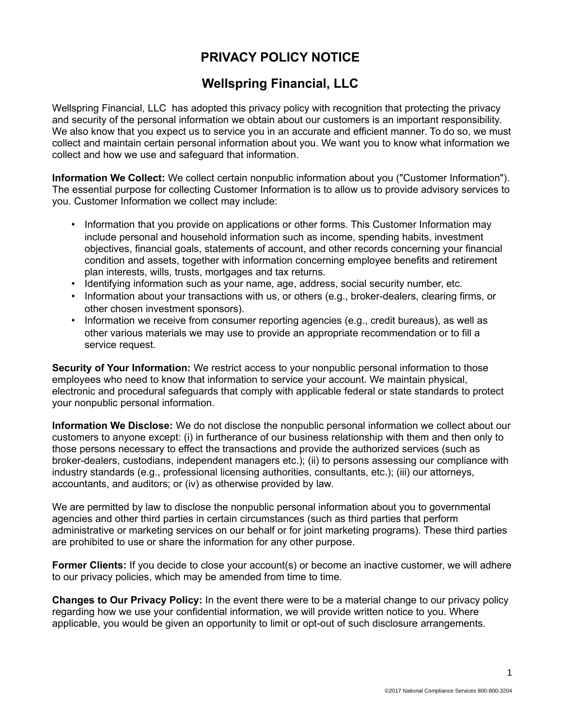## **PRIVACY POLICY NOTICE**

## **Wellspring Financial, LLC**

Wellspring Financial, LLC has adopted this privacy policy with recognition that protecting the privacy and security of the personal information we obtain about our customers is an important responsibility. We also know that you expect us to service you in an accurate and efficient manner. To do so, we must collect and maintain certain personal information about you. We want you to know what information we collect and how we use and safeguard that information.

**Information We Collect:** We collect certain nonpublic information about you ("Customer Information"). The essential purpose for collecting Customer Information is to allow us to provide advisory services to you. Customer Information we collect may include:

- Information that you provide on applications or other forms. This Customer Information may include personal and household information such as income, spending habits, investment objectives, financial goals, statements of account, and other records concerning your financial condition and assets, together with information concerning employee benefits and retirement plan interests, wills, trusts, mortgages and tax returns.
- Identifying information such as your name, age, address, social security number, etc.
- Information about your transactions with us, or others (e.g., broker-dealers, clearing firms, or other chosen investment sponsors).
- Information we receive from consumer reporting agencies (e.g., credit bureaus), as well as other various materials we may use to provide an appropriate recommendation or to fill a service request.

**Security of Your Information:** We restrict access to your nonpublic personal information to those employees who need to know that information to service your account. We maintain physical, electronic and procedural safeguards that comply with applicable federal or state standards to protect your nonpublic personal information.

**Information We Disclose:** We do not disclose the nonpublic personal information we collect about our customers to anyone except: (i) in furtherance of our business relationship with them and then only to those persons necessary to effect the transactions and provide the authorized services (such as broker-dealers, custodians, independent managers etc.); (ii) to persons assessing our compliance with industry standards (e.g., professional licensing authorities, consultants, etc.); (iii) our attorneys, accountants, and auditors; or (iv) as otherwise provided by law.

We are permitted by law to disclose the nonpublic personal information about you to governmental agencies and other third parties in certain circumstances (such as third parties that perform administrative or marketing services on our behalf or for joint marketing programs). These third parties are prohibited to use or share the information for any other purpose.

**Former Clients:** If you decide to close your account(s) or become an inactive customer, we will adhere to our privacy policies, which may be amended from time to time.

**Changes to Our Privacy Policy:** In the event there were to be a material change to our privacy policy regarding how we use your confidential information, we will provide written notice to you. Where applicable, you would be given an opportunity to limit or opt-out of such disclosure arrangements.